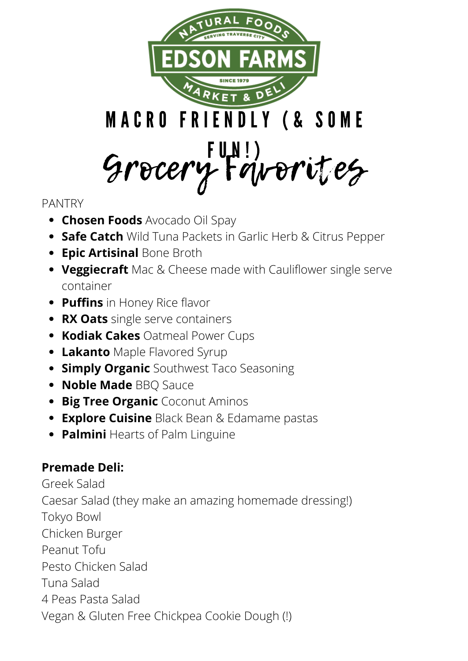

#### PANTRY

- **Chosen Foods** Avocado Oil Spay
- **Safe Catch** Wild Tuna Packets in Garlic Herb & Citrus Pepper
- **Epic Artisinal Bone Broth**
- **Veggiecraft** Mac & Cheese made with Cauliflower single serve container
- **Puffins** in Honey Rice flavor
- **RX Oats** single serve containers
- **Kodiak Cakes** Oatmeal Power Cups
- **Lakanto** Maple Flavored Syrup
- **Simply Organic** Southwest Taco Seasoning
- **Noble Made BBQ Sauce**
- **Big Tree Organic** Coconut Aminos
- **Explore Cuisine** Black Bean & Edamame pastas
- **Palmini** Hearts of Palm Linguine

### **Premade Deli:**

Greek Salad Caesar Salad (they make an amazing homemade dressing!) Tokyo Bowl Chicken Burger Peanut Tofu Pesto Chicken Salad Tuna Salad 4 Peas Pasta Salad Vegan & Gluten Free Chickpea Cookie Dough (!)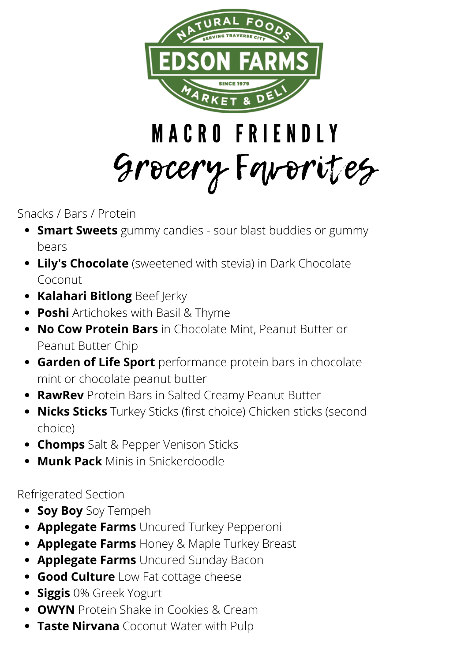

## M A C R O F R I E N D L Y Grocery Favorites

Snacks / Bars / Protein

- **Smart Sweets** gummy candies sour blast buddies or gummy bears
- **Lily's Chocolate** (sweetened with stevia) in Dark Chocolate Coconut
- **Kalahari Bitlong** Beef Jerky
- **Poshi** Artichokes with Basil & Thyme
- **No Cow Protein Bars** in Chocolate Mint, Peanut Butter or Peanut Butter Chip
- **Garden of Life Sport** performance protein bars in chocolate mint or chocolate peanut butter
- **RawRev** Protein Bars in Salted Creamy Peanut Butter
- **Nicks Sticks** Turkey Sticks (first choice) Chicken sticks (second choice)
- **Chomps** Salt & Pepper Venison Sticks
- **Munk Pack** Minis in Snickerdoodle

Refrigerated Section

- **Soy Boy** Soy Tempeh
- **Applegate Farms** Uncured Turkey Pepperoni
- **Applegate Farms** Honey & Maple Turkey Breast
- **Applegate Farms** Uncured Sunday Bacon
- **Good Culture** Low Fat cottage cheese
- **Siggis** 0% Greek Yogurt
- **OWYN** Protein Shake in Cookies & Cream
- **Taste Nirvana** Coconut Water with Pulp